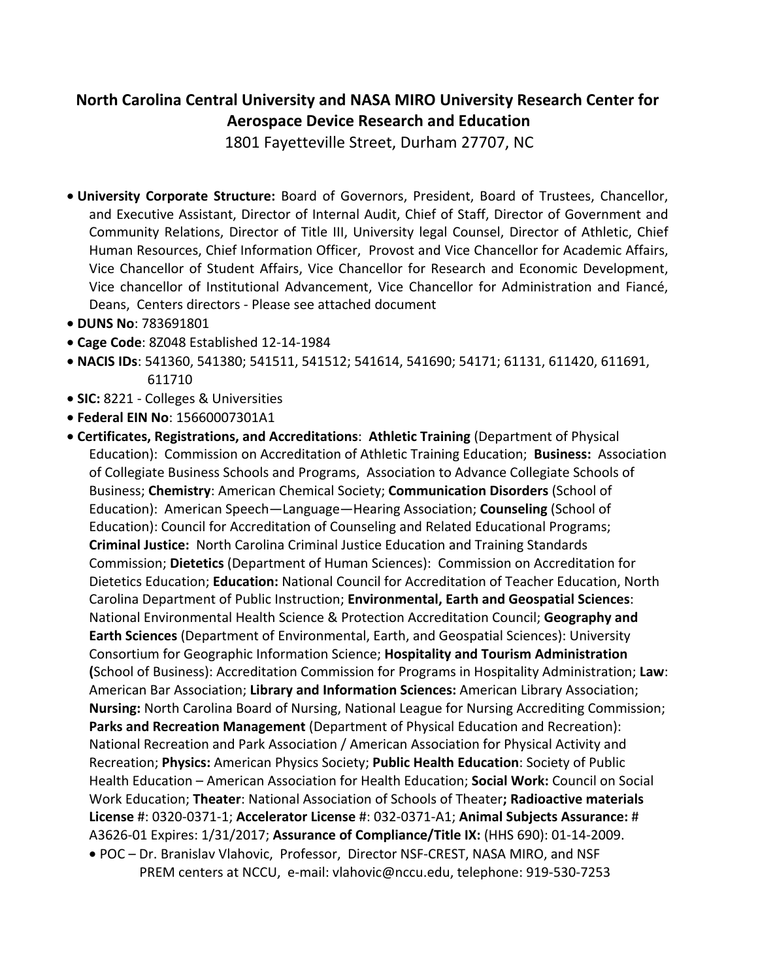# **North Carolina Central University and NASA MIRO University Research Center for Aerospace Device Research and Education**

1801 Fayetteville Street, Durham 27707, NC

- **University Corporate Structure:** Board of Governors, President, Board of Trustees, Chancellor, and Executive Assistant, Director of Internal Audit, Chief of Staff, Director of Government and Community Relations, Director of Title III, University legal Counsel, Director of Athletic, Chief Human Resources, Chief Information Officer, Provost and Vice Chancellor for Academic Affairs, Vice Chancellor of Student Affairs, Vice Chancellor for Research and Economic Development, Vice chancellor of Institutional Advancement, Vice Chancellor for Administration and Fiancé, Deans, Centers directors - Please see attached document
- **DUNS No**: 783691801
- **Cage Code**: 8Z048 Established 12-14-1984
- **NACIS IDs**: 541360, 541380; 541511, 541512; 541614, 541690; 54171; 61131, 611420, 611691, 611710
- **SIC:** 8221 Colleges & Universities
- **Federal EIN No**: 15660007301A1
- **Certificates, Registrations, and Accreditations**: **Athletic Training** (Department of Physical Education): Commission on Accreditation of Athletic Training Education; **Business:** Association of Collegiate Business Schools and Programs, Association to Advance Collegiate Schools of Business; **Chemistry**: American Chemical Society; **Communication Disorders** (School of Education): American Speech—Language—Hearing Association; **Counseling** (School of Education): Council for Accreditation of Counseling and Related Educational Programs; **Criminal Justice:** North Carolina Criminal Justice Education and Training Standards Commission; **Dietetics** (Department of Human Sciences): Commission on Accreditation for Dietetics Education; **Education:** National Council for Accreditation of Teacher Education, North Carolina Department of Public Instruction; **Environmental, Earth and Geospatial Sciences**: National Environmental Health Science & Protection Accreditation Council; **Geography and Earth Sciences** (Department of Environmental, Earth, and Geospatial Sciences): University Consortium for Geographic Information Science; **Hospitality and Tourism Administration (**School of Business): Accreditation Commission for Programs in Hospitality Administration; **Law**: American Bar Association; **Library and Information Sciences:** American Library Association; **Nursing:** North Carolina Board of Nursing, National League for Nursing Accrediting Commission; **Parks and Recreation Management** (Department of Physical Education and Recreation): National Recreation and Park Association / American Association for Physical Activity and Recreation; **Physics:** American Physics Society; **Public Health Education**: Society of Public Health Education – American Association for Health Education; **Social Work:** Council on Social Work Education; **Theater**: National Association of Schools of Theater**; Radioactive materials License** #: 0320-0371-1; **Accelerator License** #: 032-0371-A1; **Animal Subjects Assurance:** # A3626-01 Expires: 1/31/2017; **Assurance of Compliance/Title IX:** (HHS 690): 01-14-2009. POC – Dr. Branislav Vlahovic, Professor, Director NSF-CREST, NASA MIRO, and NSF PREM centers at NCCU, e-mail: vlahovic@nccu.edu, telephone: 919-530-7253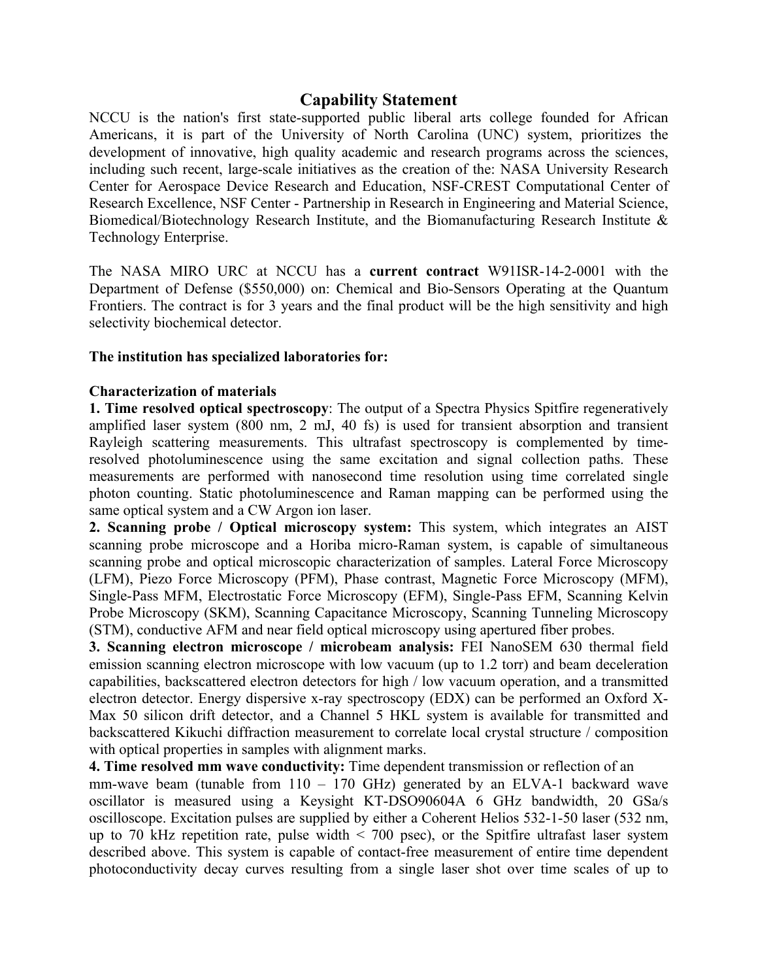### **Capability Statement**

NCCU is the nation's first state-supported public liberal arts college founded for African Americans, it is part of the University of North Carolina (UNC) system, prioritizes the development of innovative, high quality academic and research programs across the sciences, including such recent, large-scale initiatives as the creation of the: NASA University Research Center for Aerospace Device Research and Education, NSF-CREST Computational Center of Research Excellence, NSF Center - Partnership in Research in Engineering and Material Science, Biomedical/Biotechnology Research Institute, and the Biomanufacturing Research Institute & Technology Enterprise.

The NASA MIRO URC at NCCU has a **current contract** W91ISR-14-2-0001 with the Department of Defense (\$550,000) on: Chemical and Bio-Sensors Operating at the Quantum Frontiers. The contract is for 3 years and the final product will be the high sensitivity and high selectivity biochemical detector.

#### **The institution has specialized laboratories for:**

#### **Characterization of materials**

**1. Time resolved optical spectroscopy**: The output of a Spectra Physics Spitfire regeneratively amplified laser system (800 nm, 2 mJ, 40 fs) is used for transient absorption and transient Rayleigh scattering measurements. This ultrafast spectroscopy is complemented by timeresolved photoluminescence using the same excitation and signal collection paths. These measurements are performed with nanosecond time resolution using time correlated single photon counting. Static photoluminescence and Raman mapping can be performed using the same optical system and a CW Argon ion laser.

**2. Scanning probe / Optical microscopy system:** This system, which integrates an AIST scanning probe microscope and a Horiba micro-Raman system, is capable of simultaneous scanning probe and optical microscopic characterization of samples. Lateral Force Microscopy (LFM), Piezo Force Microscopy (PFM), Phase contrast, Magnetic Force Microscopy (MFM), Single-Pass MFM, Electrostatic Force Microscopy (EFM), Single-Pass EFM, Scanning Kelvin Probe Microscopy (SKM), Scanning Capacitance Microscopy, Scanning Tunneling Microscopy (STM), conductive AFM and near field optical microscopy using apertured fiber probes.

**3. Scanning electron microscope / microbeam analysis:** FEI NanoSEM 630 thermal field emission scanning electron microscope with low vacuum (up to 1.2 torr) and beam deceleration capabilities, backscattered electron detectors for high / low vacuum operation, and a transmitted electron detector. Energy dispersive x-ray spectroscopy (EDX) can be performed an Oxford X-Max 50 silicon drift detector, and a Channel 5 HKL system is available for transmitted and backscattered Kikuchi diffraction measurement to correlate local crystal structure / composition with optical properties in samples with alignment marks.

**4. Time resolved mm wave conductivity:** Time dependent transmission or reflection of an mm-wave beam (tunable from 110 – 170 GHz) generated by an ELVA-1 backward wave oscillator is measured using a Keysight KT-DSO90604A 6 GHz bandwidth, 20 GSa/s oscilloscope. Excitation pulses are supplied by either a Coherent Helios 532-1-50 laser (532 nm, up to 70 kHz repetition rate, pulse width  $\leq$  700 psec), or the Spitfire ultrafast laser system described above. This system is capable of contact-free measurement of entire time dependent photoconductivity decay curves resulting from a single laser shot over time scales of up to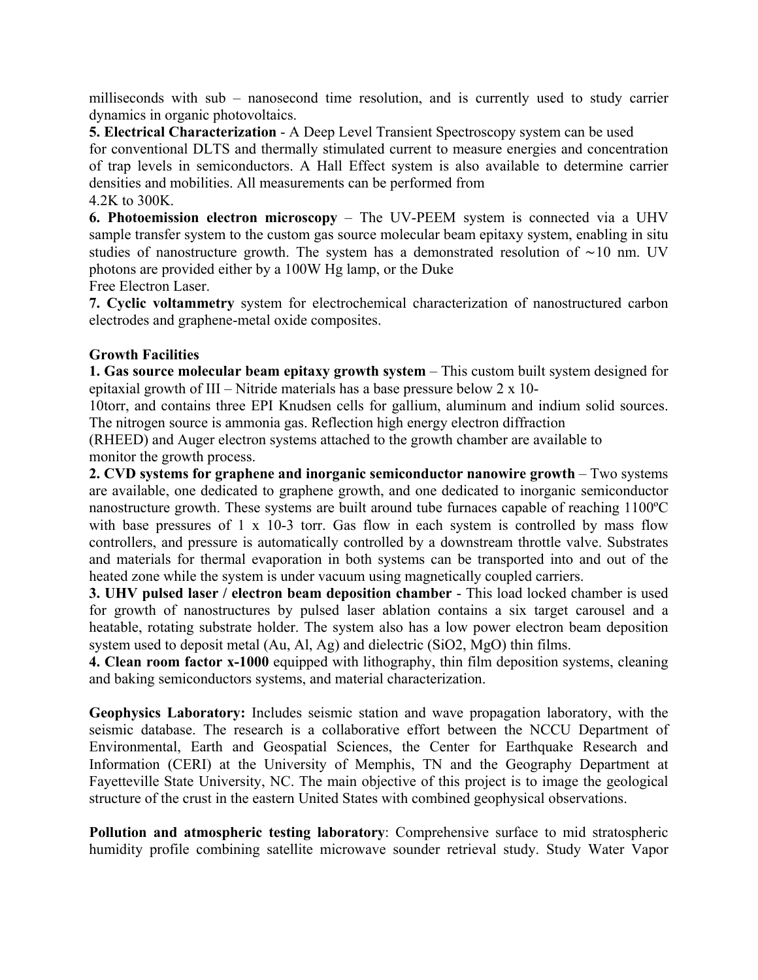milliseconds with sub – nanosecond time resolution, and is currently used to study carrier dynamics in organic photovoltaics.

**5. Electrical Characterization** - A Deep Level Transient Spectroscopy system can be used for conventional DLTS and thermally stimulated current to measure energies and concentration of trap levels in semiconductors. A Hall Effect system is also available to determine carrier densities and mobilities. All measurements can be performed from 4.2K to 300K.

**6. Photoemission electron microscopy** – The UV-PEEM system is connected via a UHV sample transfer system to the custom gas source molecular beam epitaxy system, enabling in situ studies of nanostructure growth. The system has a demonstrated resolution of ∼10 nm. UV photons are provided either by a 100W Hg lamp, or the Duke Free Electron Laser.

**7. Cyclic voltammetry** system for electrochemical characterization of nanostructured carbon electrodes and graphene-metal oxide composites.

## **Growth Facilities**

**1. Gas source molecular beam epitaxy growth system** – This custom built system designed for epitaxial growth of III – Nitride materials has a base pressure below 2 x 10-

10torr, and contains three EPI Knudsen cells for gallium, aluminum and indium solid sources. The nitrogen source is ammonia gas. Reflection high energy electron diffraction

(RHEED) and Auger electron systems attached to the growth chamber are available to monitor the growth process.

**2. CVD systems for graphene and inorganic semiconductor nanowire growth – Two systems** are available, one dedicated to graphene growth, and one dedicated to inorganic semiconductor nanostructure growth. These systems are built around tube furnaces capable of reaching 1100ºC with base pressures of 1 x 10-3 torr. Gas flow in each system is controlled by mass flow controllers, and pressure is automatically controlled by a downstream throttle valve. Substrates and materials for thermal evaporation in both systems can be transported into and out of the heated zone while the system is under vacuum using magnetically coupled carriers.

**3. UHV pulsed laser / electron beam deposition chamber** - This load locked chamber is used for growth of nanostructures by pulsed laser ablation contains a six target carousel and a heatable, rotating substrate holder. The system also has a low power electron beam deposition system used to deposit metal (Au, Al, Ag) and dielectric (SiO2, MgO) thin films.

**4. Clean room factor x-1000** equipped with lithography, thin film deposition systems, cleaning and baking semiconductors systems, and material characterization.

**Geophysics Laboratory:** Includes seismic station and wave propagation laboratory, with the seismic database. The research is a collaborative effort between the NCCU Department of Environmental, Earth and Geospatial Sciences, the Center for Earthquake Research and Information (CERI) at the University of Memphis, TN and the Geography Department at Fayetteville State University, NC. The main objective of this project is to image the geological structure of the crust in the eastern United States with combined geophysical observations.

**Pollution and atmospheric testing laboratory**: Comprehensive surface to mid stratospheric humidity profile combining satellite microwave sounder retrieval study. Study Water Vapor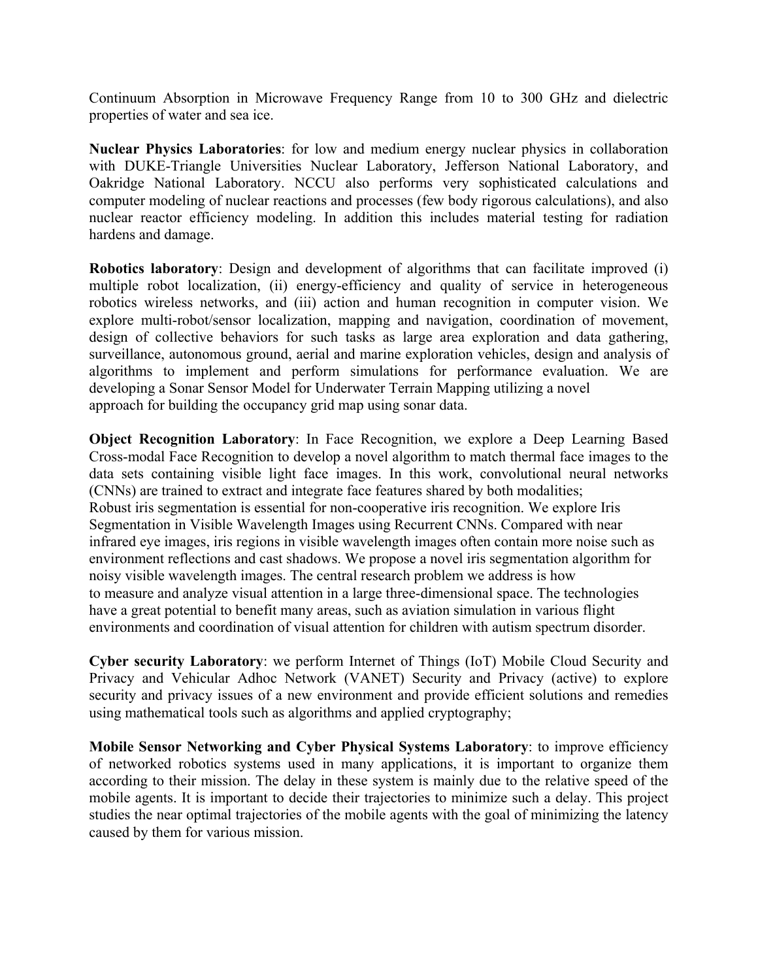Continuum Absorption in Microwave Frequency Range from 10 to 300 GHz and dielectric properties of water and sea ice.

**Nuclear Physics Laboratories**: for low and medium energy nuclear physics in collaboration with DUKE-Triangle Universities Nuclear Laboratory, Jefferson National Laboratory, and Oakridge National Laboratory. NCCU also performs very sophisticated calculations and computer modeling of nuclear reactions and processes (few body rigorous calculations), and also nuclear reactor efficiency modeling. In addition this includes material testing for radiation hardens and damage.

**Robotics laboratory**: Design and development of algorithms that can facilitate improved (i) multiple robot localization, (ii) energy-efficiency and quality of service in heterogeneous robotics wireless networks, and (iii) action and human recognition in computer vision. We explore multi-robot/sensor localization, mapping and navigation, coordination of movement, design of collective behaviors for such tasks as large area exploration and data gathering, surveillance, autonomous ground, aerial and marine exploration vehicles, design and analysis of algorithms to implement and perform simulations for performance evaluation. We are developing a Sonar Sensor Model for Underwater Terrain Mapping utilizing a novel approach for building the occupancy grid map using sonar data.

**Object Recognition Laboratory**: In Face Recognition, we explore a Deep Learning Based Cross-modal Face Recognition to develop a novel algorithm to match thermal face images to the data sets containing visible light face images. In this work, convolutional neural networks (CNNs) are trained to extract and integrate face features shared by both modalities; Robust iris segmentation is essential for non-cooperative iris recognition. We explore Iris Segmentation in Visible Wavelength Images using Recurrent CNNs. Compared with near infrared eye images, iris regions in visible wavelength images often contain more noise such as environment reflections and cast shadows. We propose a novel iris segmentation algorithm for noisy visible wavelength images. The central research problem we address is how to measure and analyze visual attention in a large three-dimensional space. The technologies have a great potential to benefit many areas, such as aviation simulation in various flight environments and coordination of visual attention for children with autism spectrum disorder.

**Cyber security Laboratory**: we perform Internet of Things (IoT) Mobile Cloud Security and Privacy and Vehicular Adhoc Network (VANET) Security and Privacy (active) to explore security and privacy issues of a new environment and provide efficient solutions and remedies using mathematical tools such as algorithms and applied cryptography;

**Mobile Sensor Networking and Cyber Physical Systems Laboratory**: to improve efficiency of networked robotics systems used in many applications, it is important to organize them according to their mission. The delay in these system is mainly due to the relative speed of the mobile agents. It is important to decide their trajectories to minimize such a delay. This project studies the near optimal trajectories of the mobile agents with the goal of minimizing the latency caused by them for various mission.